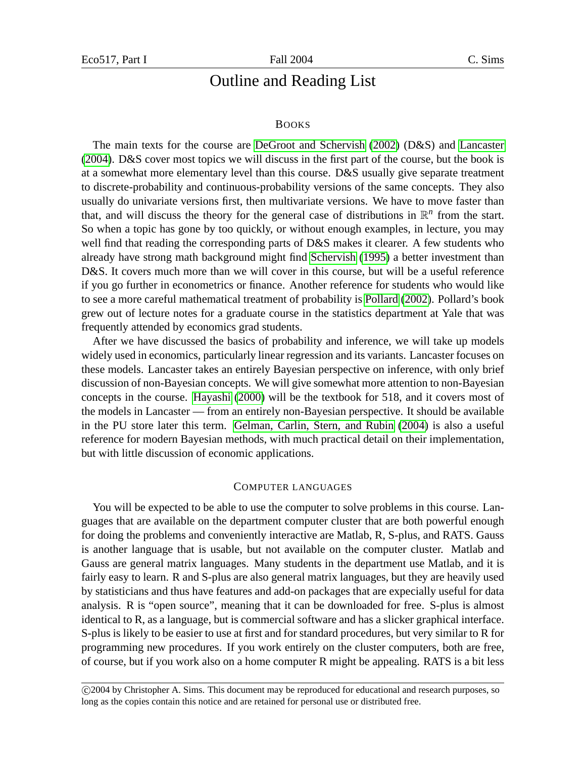# Outline and Reading List

#### BOOKS

The main texts for the course are [DeGroot and Schervish](#page-5-0) [\(2002\)](#page-5-0) (D&S) and [Lancaster](#page-5-1) [\(2004\)](#page-5-1). D&S cover most topics we will discuss in the first part of the course, but the book is at a somewhat more elementary level than this course. D&S usually give separate treatment to discrete-probability and continuous-probability versions of the same concepts. They also usually do univariate versions first, then multivariate versions. We have to move faster than that, and will discuss the theory for the general case of distributions in  $\mathbb{R}^n$  from the start. So when a topic has gone by too quickly, or without enough examples, in lecture, you may well find that reading the corresponding parts of D&S makes it clearer. A few students who already have strong math background might find [Schervish](#page-5-2) [\(1995\)](#page-5-2) a better investment than D&S. It covers much more than we will cover in this course, but will be a useful reference if you go further in econometrics or finance. Another reference for students who would like to see a more careful mathematical treatment of probability is [Pollard \(2002\)](#page-5-3). Pollard's book grew out of lecture notes for a graduate course in the statistics department at Yale that was frequently attended by economics grad students.

After we have discussed the basics of probability and inference, we will take up models widely used in economics, particularly linear regression and its variants. Lancaster focuses on these models. Lancaster takes an entirely Bayesian perspective on inference, with only brief discussion of non-Bayesian concepts. We will give somewhat more attention to non-Bayesian concepts in the course. [Hayashi](#page-5-4) [\(2000\)](#page-5-4) will be the textbook for 518, and it covers most of the models in Lancaster — from an entirely non-Bayesian perspective. It should be available in the PU store later this term. [Gelman, Carlin, Stern, and Rubin](#page-5-5) [\(2004\)](#page-5-5) is also a useful reference for modern Bayesian methods, with much practical detail on their implementation, but with little discussion of economic applications.

#### COMPUTER LANGUAGES

You will be expected to be able to use the computer to solve problems in this course. Languages that are available on the department computer cluster that are both powerful enough for doing the problems and conveniently interactive are Matlab, R, S-plus, and RATS. Gauss is another language that is usable, but not available on the computer cluster. Matlab and Gauss are general matrix languages. Many students in the department use Matlab, and it is fairly easy to learn. R and S-plus are also general matrix languages, but they are heavily used by statisticians and thus have features and add-on packages that are expecially useful for data analysis. R is "open source", meaning that it can be downloaded for free. S-plus is almost identical to R, as a language, but is commercial software and has a slicker graphical interface. S-plus is likely to be easier to use at first and for standard procedures, but very similar to R for programming new procedures. If you work entirely on the cluster computers, both are free, of course, but if you work also on a home computer R might be appealing. RATS is a bit less

c 2004 by Christopher A. Sims. This document may be reproduced for educational and research purposes, so long as the copies contain this notice and are retained for personal use or distributed free.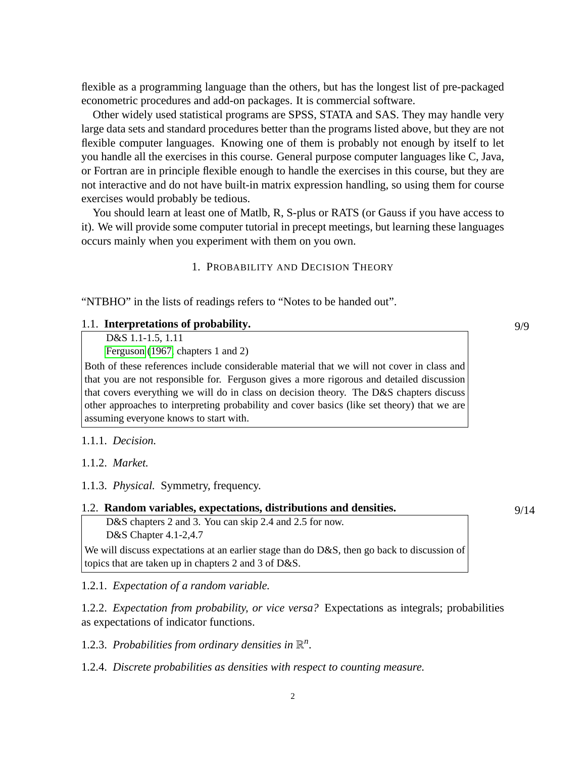flexible as a programming language than the others, but has the longest list of pre-packaged econometric procedures and add-on packages. It is commercial software.

Other widely used statistical programs are SPSS, STATA and SAS. They may handle very large data sets and standard procedures better than the programs listed above, but they are not flexible computer languages. Knowing one of them is probably not enough by itself to let you handle all the exercises in this course. General purpose computer languages like C, Java, or Fortran are in principle flexible enough to handle the exercises in this course, but they are not interactive and do not have built-in matrix expression handling, so using them for course exercises would probably be tedious.

You should learn at least one of Matlb, R, S-plus or RATS (or Gauss if you have access to it). We will provide some computer tutorial in precept meetings, but learning these languages occurs mainly when you experiment with them on you own.

1. PROBABILITY AND DECISION THEORY

"NTBHO" in the lists of readings refers to "Notes to be handed out".

#### 1.1. **Interpretations of probability.** 9/9

D&S 1.1-1.5, 1.11

[Ferguson](#page-5-6) [\(1967,](#page-5-6) chapters 1 and 2)

Both of these references include considerable material that we will not cover in class and that you are not responsible for. Ferguson gives a more rigorous and detailed discussion that covers everything we will do in class on decision theory. The D&S chapters discuss other approaches to interpreting probability and cover basics (like set theory) that we are assuming everyone knows to start with.

#### 1.1.1. *Decision.*

1.1.2. *Market.*

1.1.3. *Physical.* Symmetry, frequency.

#### 1.2. **Random variables, expectations, distributions and densities.** 9/14

D&S chapters 2 and 3. You can skip 2.4 and 2.5 for now. D&S Chapter 4.1-2,4.7

We will discuss expectations at an earlier stage than do D&S, then go back to discussion of topics that are taken up in chapters 2 and 3 of D&S.

1.2.1. *Expectation of a random variable.*

1.2.2. *Expectation from probability, or vice versa?* Expectations as integrals; probabilities as expectations of indicator functions.

1.2.3. Probabilities from ordinary densities in  $\mathbb{R}^n$ .

1.2.4. *Discrete probabilities as densities with respect to counting measure.*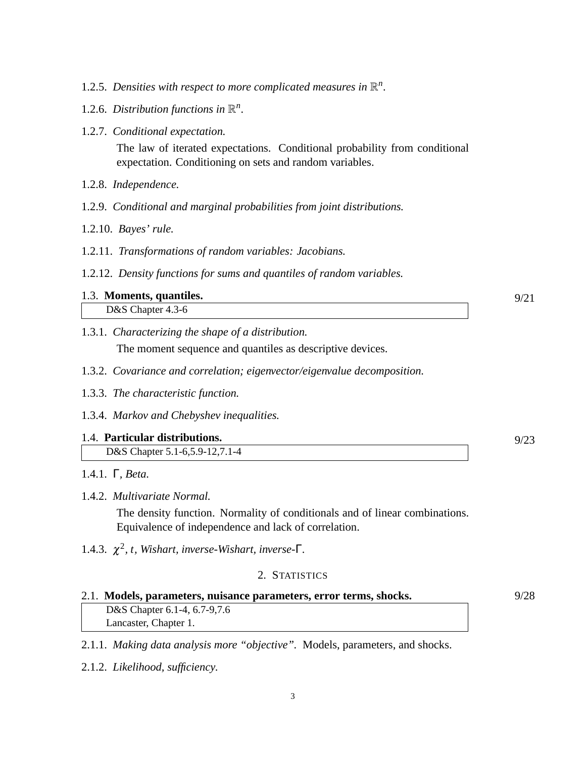- 1.2.5. Densities with respect to more complicated measures in  $\mathbb{R}^n$ .
- 1.2.6. Distribution functions in  $\mathbb{R}^n$ .
- 1.2.7. *Conditional expectation.*

The law of iterated expectations. Conditional probability from conditional expectation. Conditioning on sets and random variables.

- 1.2.8. *Independence.*
- 1.2.9. *Conditional and marginal probabilities from joint distributions.*
- 1.2.10. *Bayes' rule.*
- 1.2.11. *Transformations of random variables: Jacobians.*
- 1.2.12. *Density functions for sums and quantiles of random variables.*

# 1.3. **Moments, quantiles.** 9/21 D&S Chapter 4.3-6

- 1.3.1. *Characterizing the shape of a distribution.* The moment sequence and quantiles as descriptive devices.
- 1.3.2. *Covariance and correlation; eigenvector/eigenvalue decomposition.*
- 1.3.3. *The characteristic function.*
- 1.3.4. *Markov and Chebyshev inequalities.*

## 1.4. **Particular distributions.** 9/23

- D&S Chapter 5.1-6,5.9-12,7.1-4
- 1.4.1. Γ*, Beta.*

## 1.4.2. *Multivariate Normal.*

The density function. Normality of conditionals and of linear combinations. Equivalence of independence and lack of correlation.

1.4.3.  $\chi^2$ , t, Wishart, inverse-Wishart, inverse- $\Gamma$ .

# 2. STATISTICS

#### 2.1. **Models, parameters, nuisance parameters, error terms, shocks.** 9/28  $\frac{M_{\text{O}}}{N_{\text{C}}N_{\text{C}}}\frac{M_{\text{O}}}{N_{\text{C}}N_{\text{C}}}$

| D&S Chapter 6.1-4, 6.7-9, 7. |  |
|------------------------------|--|
| Lancaster, Chapter 1.        |  |

2.1.1. *Making data analysis more "objective".* Models, parameters, and shocks.

2.1.2. *Likelihood, sufficiency.*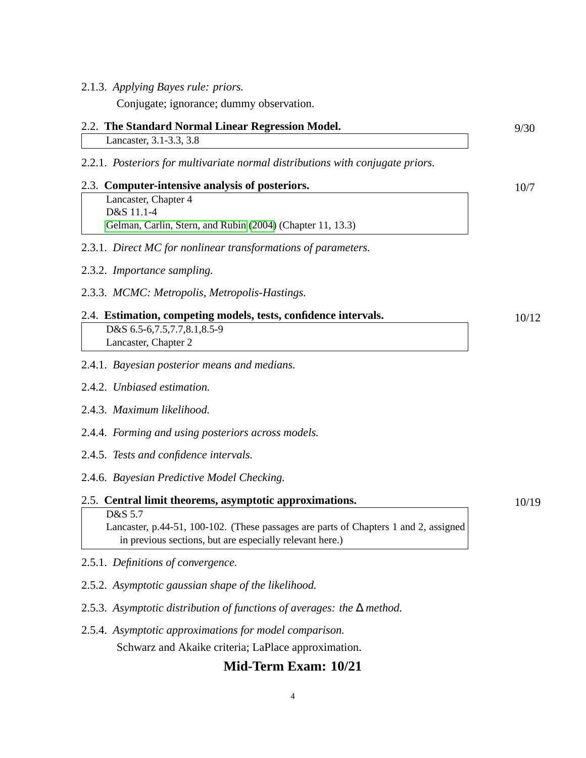### 2.1.3. *Applying Bayes rule: priors.*

Conjugate; ignorance; dummy observation.

# 2.2. **The Standard Normal Linear Regression Model.** 9/30

Lancaster, 3.1-3.3, 3.8

2.2.1. *Posteriors for multivariate normal distributions with conjugate priors.*

# 2.3. **Computer-intensive analysis of posteriors.** 10/7 Lancaster, Chapter 4 D&S 11.1-4

2.3.1. *Direct MC for nonlinear transformations of parameters.*

[Gelman, Carlin, Stern, and Rubin](#page-5-5) [\(2004\)](#page-5-5) (Chapter 11, 13.3)

- 2.3.2. *Importance sampling.*
- 2.3.3. *MCMC: Metropolis, Metropolis-Hastings.*

# 2.4. **Estimation, competing models, tests, confidence intervals.** 10/12 D&S 6.5-6,7.5,7.7,8.1,8.5-9 Lancaster, Chapter 2

## 2.4.1. *Bayesian posterior means and medians.*

- 2.4.2. *Unbiased estimation.*
- 2.4.3. *Maximum likelihood.*
- 2.4.4. *Forming and using posteriors across models.*
- 2.4.5. *Tests and confidence intervals.*
- 2.4.6. *Bayesian Predictive Model Checking.*

# 2.5. **Central limit theorems, asymptotic approximations.** 10/19 D&S 5.7 Lancaster, p.44-51, 100-102. (These passages are parts of Chapters 1 and 2, assigned

- 2.5.1. *Definitions of convergence.*
- 2.5.2. *Asymptotic gaussian shape of the likelihood.*
- 2.5.3. *Asymptotic distribution of functions of averages: the* ∆ *method.*

in previous sections, but are especially relevant here.)

2.5.4. *Asymptotic approximations for model comparison.* Schwarz and Akaike criteria; LaPlace approximation.

# **Mid-Term Exam: 10/21**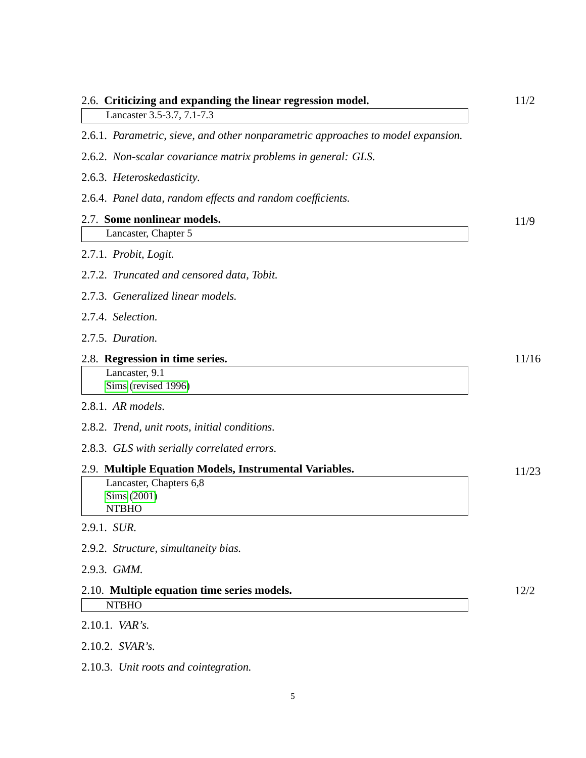| 2.6. Criticizing and expanding the linear regression model.<br>Lancaster 3.5-3.7, 7.1-7.3 | 11/2  |  |
|-------------------------------------------------------------------------------------------|-------|--|
| 2.6.1. Parametric, sieve, and other nonparametric approaches to model expansion.          |       |  |
| 2.6.2. Non-scalar covariance matrix problems in general: GLS.                             |       |  |
| 2.6.3. Heteroskedasticity.                                                                |       |  |
| 2.6.4. Panel data, random effects and random coefficients.                                |       |  |
| 2.7. Some nonlinear models.                                                               | 11/9  |  |
| Lancaster, Chapter 5                                                                      |       |  |
| 2.7.1. Probit, Logit.                                                                     |       |  |
| 2.7.2. Truncated and censored data, Tobit.                                                |       |  |
| 2.7.3. Generalized linear models.                                                         |       |  |
| 2.7.4. Selection.                                                                         |       |  |
| 2.7.5. Duration.                                                                          |       |  |
| 2.8. Regression in time series.<br>Lancaster, 9.1<br>Sims (revised 1996)                  | 11/16 |  |
| 2.8.1. AR models.                                                                         |       |  |
| 2.8.2. Trend, unit roots, initial conditions.                                             |       |  |
| 2.8.3. GLS with serially correlated errors.                                               |       |  |
| 2.9. Multiple Equation Models, Instrumental Variables.                                    | 11/23 |  |
| Lancaster, Chapters 6,8<br>Sims (2001)<br><b>NTBHO</b>                                    |       |  |
| 2.9.1. SUR.                                                                               |       |  |
| 2.9.2. Structure, simultaneity bias.                                                      |       |  |
| 2.9.3. GMM.                                                                               |       |  |
| 2.10. Multiple equation time series models.<br><b>NTBHO</b>                               | 12/2  |  |
| 2.10.1. VAR's.                                                                            |       |  |
| 2.10.2. SVAR's.                                                                           |       |  |
| 2.10.3. Unit roots and cointegration.                                                     |       |  |